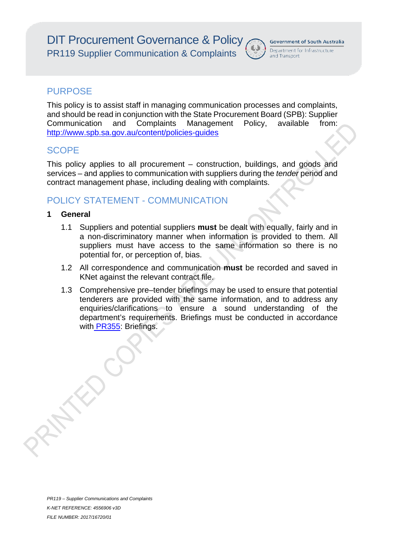

## **PURPOSE**

This policy is to assist staff in managing communication processes and complaints, and should be read in conjunction with the State Procurement Board (SPB): Supplier Communication and Complaints Management Policy, available from: http://www.spb.sa.gov.au/content/policies-guides

## **SCOPE**

This policy applies to all procurement – construction, buildings, and goods and services – and applies to communication with suppliers during the *tender* period and contract management phase, including dealing with complaints.

# POLICY STATEMENT - COMMUNICATION

### **1 General**

- 1.1 Suppliers and potential suppliers **must** be dealt with equally, fairly and in a non-discriminatory manner when information is provided to them. All suppliers must have access to the same information so there is no potential for, or perception of, bias.
- 1.2 All correspondence and communication **must** be recorded and saved in KNet against the relevant contract file.
- 1.3 Comprehensive pre–tender briefings may be used to ensure that potential tenderers are provided with the same information, and to address any enquiries/clarifications to ensure a sound understanding of the department's requirements. Briefings must be conducted in accordance with PR355: Briefings.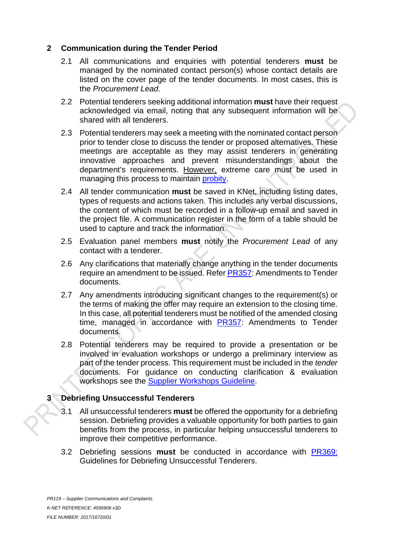### **2 Communication during the Tender Period**

- 2.1 All communications and enquiries with potential tenderers **must** be managed by the nominated contact person(s) whose contact details are listed on the cover page of the tender documents. In most cases, this is the *Procurement Lead*.
- 2.2 Potential tenderers seeking additional information **must** have their request acknowledged via email, noting that any subsequent information will be shared with all tenderers.
- 2.3 Potential tenderers may seek a meeting with the nominated contact person prior to tender close to discuss the tender or proposed alternatives. These meetings are acceptable as they may assist tenderers in generating innovative approaches and prevent misunderstandings about the department's requirements. However, extreme care must be used in managing this process to maintain probity.
- 2.4 All tender communication **must** be saved in KNet, including listing dates, types of requests and actions taken. This includes any verbal discussions, the content of which must be recorded in a follow-up email and saved in the project file. A communication register in the form of a table should be used to capture and track the information.
- 2.5 Evaluation panel members **must** notify the *Procurement Lead* of any contact with a tenderer.
- 2.6 Any clarifications that materially change anything in the tender documents require an amendment to be issued. Refer PR357: Amendments to Tender documents.
- 2.7 Any amendments introducing significant changes to the requirement(s) or the terms of making the offer may require an extension to the closing time. In this case, all potential tenderers must be notified of the amended closing time, managed in accordance with PR357: Amendments to Tender documents.
- 2.8 Potential tenderers may be required to provide a presentation or be involved in evaluation workshops or undergo a preliminary interview as part of the tender process. This requirement must be included in the *tender* documents. For guidance on conducting clarification & evaluation workshops see the Supplier Workshops Guideline.

### **3 Debriefing Unsuccessful Tenderers**

- 3.1 All unsuccessful tenderers **must** be offered the opportunity for a debriefing session. Debriefing provides a valuable opportunity for both parties to gain benefits from the process, in particular helping unsuccessful tenderers to improve their competitive performance.
- 3.2 Debriefing sessions **must** be conducted in accordance with PR369: Guidelines for Debriefing Unsuccessful Tenderers.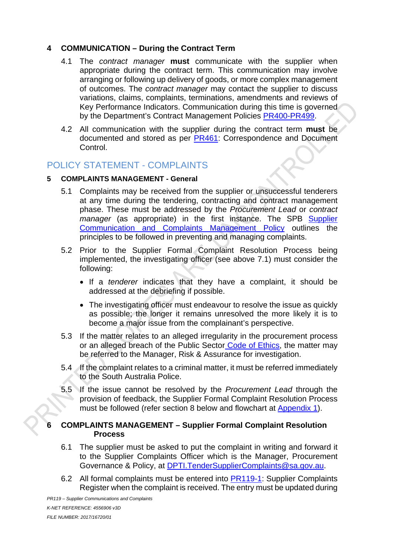### **4 COMMUNICATION – During the Contract Term**

- 4.1 The *contract manager* **must** communicate with the supplier when appropriate during the contract term. This communication may involve arranging or following up delivery of goods, or more complex management of outcomes. The *contract manager* may contact the supplier to discuss variations, claims, complaints, terminations, amendments and reviews of Key Performance Indicators. Communication during this time is governed by the Department's Contract Management Policies PR400-PR499.
- 4.2 All communication with the supplier during the contract term **must** be documented and stored as per PR461: Correspondence and Document Control.

## POLICY STATEMENT - COMPLAINTS

#### **5 COMPLAINTS MANAGEMENT - General**

- 5.1 Complaints may be received from the supplier or unsuccessful tenderers at any time during the tendering, contracting and contract management phase. These must be addressed by the *Procurement Lead* or *contract manager* (as appropriate) in the first instance. The SPB Supplier Communication and Complaints Management Policy outlines the principles to be followed in preventing and managing complaints.
- 5.2 Prior to the Supplier Formal Complaint Resolution Process being implemented, the investigating officer (see above 7.1) must consider the following:
	- If a *tenderer* indicates that they have a complaint, it should be addressed at the debriefing if possible.
	- The investigating officer must endeavour to resolve the issue as quickly as possible; the longer it remains unresolved the more likely it is to become a major issue from the complainant's perspective.
- 5.3 If the matter relates to an alleged irregularity in the procurement process or an alleged breach of the Public Sector [Code of Ethics,](https://publicsector.sa.gov.au/policies-standards/code-of-ethics/) the matter may be referred to the Manager, Risk & Assurance for investigation.
- 5.4 If the complaint relates to a criminal matter, it must be referred immediately to the South Australia Police.
- 5.5 If the issue cannot be resolved by the *Procurement Lead* through the provision of feedback, the Supplier Formal Complaint Resolution Process must be followed (refer section 8 below and flowchart at [Appendix 1\)](#page-4-0).

#### **6 COMPLAINTS MANAGEMENT – Supplier Formal Complaint Resolution Process**

- 6.1 The supplier must be asked to put the complaint in writing and forward it to the Supplier Complaints Officer which is the Manager, Procurement Governance & Policy, at [DPTI.TenderSupplierComplaints@sa.gov.au.](mailto:DPTI.TenderSupplierComplaints@sa.gov.au)
- 6.2 All formal complaints must be entered into **PR119-1**: Supplier Complaints Register when the complaint is received. The entry must be updated during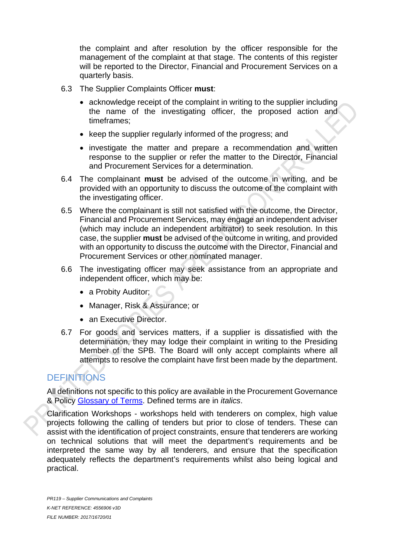the complaint and after resolution by the officer responsible for the management of the complaint at that stage. The contents of this register will be reported to the Director, Financial and Procurement Services on a quarterly basis.

- 6.3 The Supplier Complaints Officer **must**:
	- acknowledge receipt of the complaint in writing to the supplier including the name of the investigating officer, the proposed action and timeframes;
	- keep the supplier regularly informed of the progress; and
	- investigate the matter and prepare a recommendation and written response to the supplier or refer the matter to the Director, Financial and Procurement Services for a determination.
- 6.4 The complainant **must** be advised of the outcome in writing, and be provided with an opportunity to discuss the outcome of the complaint with the investigating officer.
- 6.5 Where the complainant is still not satisfied with the outcome, the Director, Financial and Procurement Services, may engage an independent adviser (which may include an independent arbitrator) to seek resolution. In this case, the supplier **must** be advised of the outcome in writing, and provided with an opportunity to discuss the outcome with the Director, Financial and Procurement Services or other nominated manager.
- 6.6 The investigating officer may seek assistance from an appropriate and independent officer, which may be:
	- a Probity Auditor;
	- Manager, Risk & Assurance; or
	- an Executive Director.
- 6.7 For goods and services matters, if a supplier is dissatisfied with the determination, they may lodge their complaint in writing to the Presiding Member of the SPB. The Board will only accept complaints where all attempts to resolve the complaint have first been made by the department.

# **DEFINITIONS**

All definitions not specific to this policy are available in the Procurement Governance & Policy Glossary of Terms. Defined terms are in *italics*.

Clarification Workshops - workshops held with tenderers on complex, high value projects following the calling of tenders but prior to close of tenders. These can assist with the identification of project constraints, ensure that tenderers are working on technical solutions that will meet the department's requirements and be interpreted the same way by all tenderers, and ensure that the specification adequately reflects the department's requirements whilst also being logical and practical.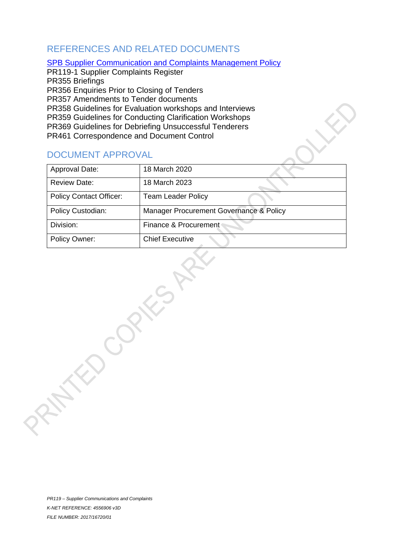# REFERENCES AND RELATED DOCUMENTS

#### SPB Supplier Communication and Complaints Management Policy

PR119-1 Supplier Complaints Register PR355 Briefings PR356 Enquiries Prior to Closing of Tenders PR357 Amendments to Tender documents PR358 Guidelines for Evaluation workshops and Interviews PR359 Guidelines for Conducting Clarification Workshops PR369 Guidelines for Debriefing Unsuccessful Tenderers PR461 Correspondence and Document Control

# <span id="page-4-0"></span>DOCUMENT APPROVAL

| Approval Date:                 | 18 March 2020                           |
|--------------------------------|-----------------------------------------|
| <b>Review Date:</b>            | 18 March 2023                           |
| <b>Policy Contact Officer:</b> | Team Leader Policy                      |
| Policy Custodian:              | Manager Procurement Governance & Policy |
| Division:                      | Finance & Procurement                   |
| Policy Owner:                  | <b>Chief Executive</b>                  |
|                                |                                         |